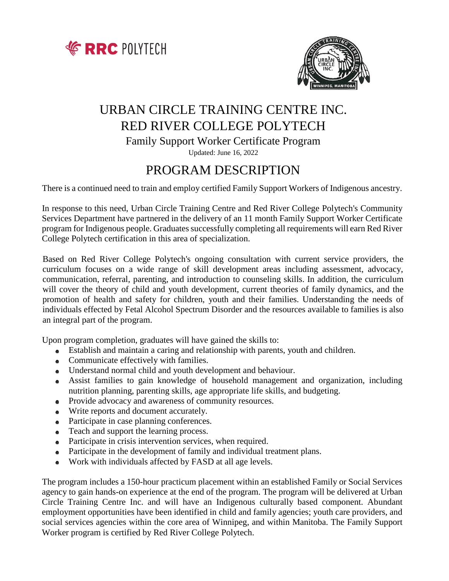



# URBAN CIRCLE TRAINING CENTRE INC. RED RIVER COLLEGE POLYTECH

Family Support Worker Certificate Program

Updated: June 16, 2022

# PROGRAM DESCRIPTION

There is a continued need to train and employ certified Family Support Workers of Indigenous ancestry.

In response to this need, Urban Circle Training Centre and Red River College Polytech's Community Services Department have partnered in the delivery of an 11 month Family Support Worker Certificate program for Indigenous people. Graduates successfully completing all requirements will earn Red River College Polytech certification in this area of specialization.

Based on Red River College Polytech's ongoing consultation with current service providers, the curriculum focuses on a wide range of skill development areas including assessment, advocacy, communication, referral, parenting, and introduction to counseling skills. In addition, the curriculum will cover the theory of child and youth development, current theories of family dynamics, and the promotion of health and safety for children, youth and their families. Understanding the needs of individuals effected by Fetal Alcohol Spectrum Disorder and the resources available to families is also an integral part of the program.

Upon program completion, graduates will have gained the skills to:

- Establish and maintain a caring and relationship with parents, youth and children.
- Communicate effectively with families.
- Understand normal child and youth development and behaviour.
- Assist families to gain knowledge of household management and organization, including nutrition planning, parenting skills, age appropriate life skills, and budgeting.
- Provide advocacy and awareness of community resources.
- Write reports and document accurately.
- Participate in case planning conferences.
- Teach and support the learning process.
- Participate in crisis intervention services, when required.
- Participate in the development of family and individual treatment plans.
- Work with individuals affected by FASD at all age levels.  $\bullet$

The program includes a 150-hour practicum placement within an established Family or Social Services agency to gain hands-on experience at the end of the program. The program will be delivered at Urban Circle Training Centre Inc. and will have an Indigenous culturally based component. Abundant employment opportunities have been identified in child and family agencies; youth care providers, and social services agencies within the core area of Winnipeg, and within Manitoba. The Family Support Worker program is certified by Red River College Polytech.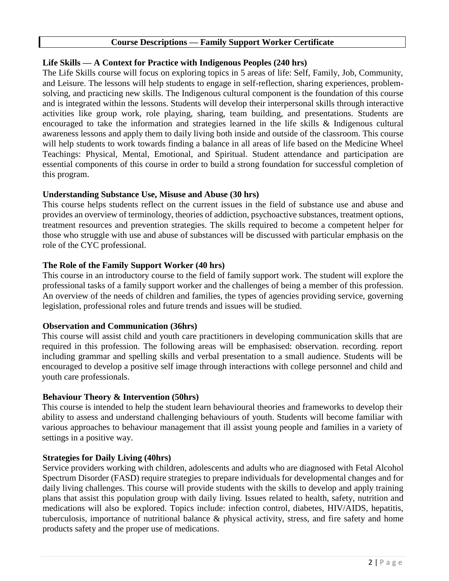# **Course Descriptions — Family Support Worker Certificate**

## **Life Skills — A Context for Practice with Indigenous Peoples (240 hrs)**

The Life Skills course will focus on exploring topics in 5 areas of life: Self, Family, Job, Community, and Leisure. The lessons will help students to engage in self-reflection, sharing experiences, problemsolving, and practicing new skills. The Indigenous cultural component is the foundation of this course and is integrated within the lessons. Students will develop their interpersonal skills through interactive activities like group work, role playing, sharing, team building, and presentations. Students are encouraged to take the information and strategies learned in the life skills & Indigenous cultural awareness lessons and apply them to daily living both inside and outside of the classroom. This course will help students to work towards finding a balance in all areas of life based on the Medicine Wheel Teachings: Physical, Mental, Emotional, and Spiritual. Student attendance and participation are essential components of this course in order to build a strong foundation for successful completion of this program.

# **Understanding Substance Use, Misuse and Abuse (30 hrs)**

This course helps students reflect on the current issues in the field of substance use and abuse and provides an overview of terminology, theories of addiction, psychoactive substances, treatment options, treatment resources and prevention strategies. The skills required to become a competent helper for those who struggle with use and abuse of substances will be discussed with particular emphasis on the role of the CYC professional.

# **The Role of the Family Support Worker (40 hrs)**

This course in an introductory course to the field of family support work. The student will explore the professional tasks of a family support worker and the challenges of being a member of this profession. An overview of the needs of children and families, the types of agencies providing service, governing legislation, professional roles and future trends and issues will be studied.

### **Observation and Communication (36hrs)**

This course will assist child and youth care practitioners in developing communication skills that are required in this profession. The following areas will be emphasised: observation. recording. report including grammar and spelling skills and verbal presentation to a small audience. Students will be encouraged to develop a positive self image through interactions with college personnel and child and youth care professionals.

### **Behaviour Theory & Intervention (50hrs)**

This course is intended to help the student learn behavioural theories and frameworks to develop their ability to assess and understand challenging behaviours of youth. Students will become familiar with various approaches to behaviour management that ill assist young people and families in a variety of settings in a positive way.

### **Strategies for Daily Living (40hrs)**

Service providers working with children, adolescents and adults who are diagnosed with Fetal Alcohol Spectrum Disorder (FASD) require strategies to prepare individuals for developmental changes and for daily living challenges. This course will provide students with the skills to develop and apply training plans that assist this population group with daily living. Issues related to health, safety, nutrition and medications will also be explored. Topics include: infection control, diabetes, HIV/AIDS, hepatitis, tuberculosis, importance of nutritional balance & physical activity, stress, and fire safety and home products safety and the proper use of medications.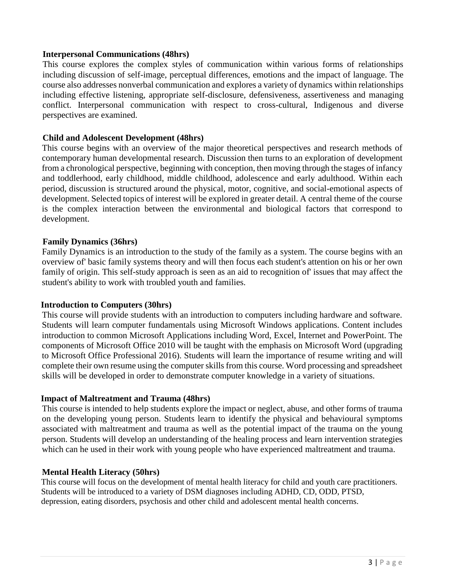#### **Interpersonal Communications (48hrs)**

This course explores the complex styles of communication within various forms of relationships including discussion of self-image, perceptual differences, emotions and the impact of language. The course also addresses nonverbal communication and explores a variety of dynamics within relationships including effective listening, appropriate self-disclosure, defensiveness, assertiveness and managing conflict. Interpersonal communication with respect to cross-cultural, Indigenous and diverse perspectives are examined.

#### **Child and Adolescent Development (48hrs)**

This course begins with an overview of the major theoretical perspectives and research methods of contemporary human developmental research. Discussion then turns to an exploration of development from a chronological perspective, beginning with conception, then moving through the stages of infancy and toddlerhood, early childhood, middle childhood, adolescence and early adulthood. Within each period, discussion is structured around the physical, motor, cognitive, and social-emotional aspects of development. Selected topics of interest will be explored in greater detail. A central theme of the course is the complex interaction between the environmental and biological factors that correspond to development.

#### **Family Dynamics (36hrs)**

Family Dynamics is an introduction to the study of the family as a system. The course begins with an overview of' basic family systems theory and will then focus each student's attention on his or her own family of origin. This self-study approach is seen as an aid to recognition of' issues that may affect the student's ability to work with troubled youth and families.

#### **Introduction to Computers (30hrs)**

This course will provide students with an introduction to computers including hardware and software. Students will learn computer fundamentals using Microsoft Windows applications. Content includes introduction to common Microsoft Applications including Word, Excel, Internet and PowerPoint. The components of Microsoft Office 2010 will be taught with the emphasis on Microsoft Word (upgrading to Microsoft Office Professional 2016). Students will learn the importance of resume writing and will complete their own resume using the computer skills from this course. Word processing and spreadsheet skills will be developed in order to demonstrate computer knowledge in a variety of situations.

#### **Impact of Maltreatment and Trauma (48hrs)**

This course is intended to help students explore the impact or neglect, abuse, and other forms of trauma on the developing young person. Students learn to identify the physical and behavioural symptoms associated with maltreatment and trauma as well as the potential impact of the trauma on the young person. Students will develop an understanding of the healing process and learn intervention strategies which can he used in their work with young people who have experienced maltreatment and trauma.

#### **Mental Health Literacy (50hrs)**

This course will focus on the development of mental health literacy for child and youth care practitioners. Students will be introduced to a variety of DSM diagnoses including ADHD, CD, ODD, PTSD, depression, eating disorders, psychosis and other child and adolescent mental health concerns.